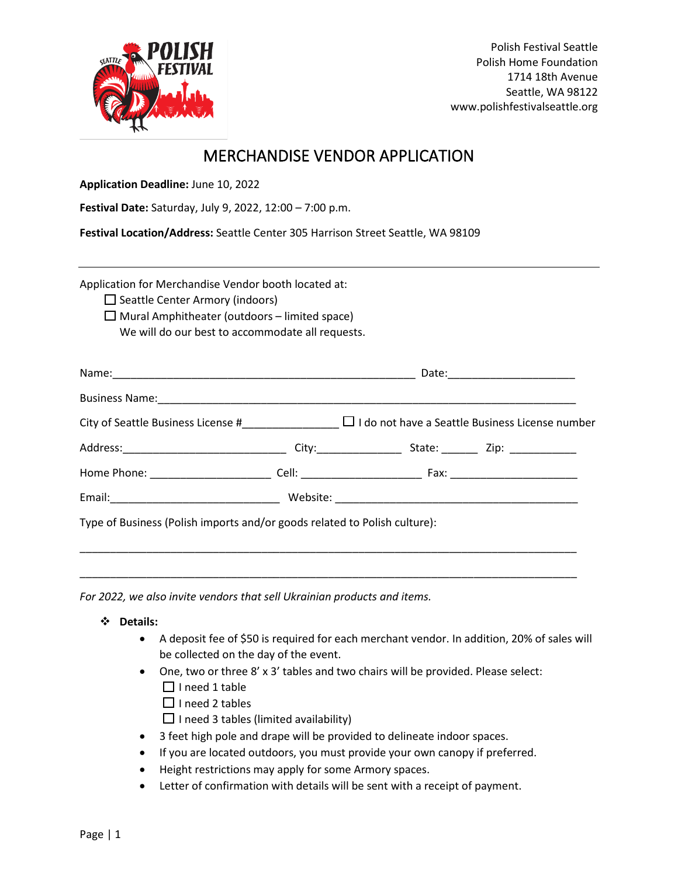

# MERCHANDISE VENDOR APPLICATION

**Application Deadline:** June 10, 2022

**Festival Date:** Saturday, July 9, 2022, 12:00 – 7:00 p.m.

**Festival Location/Address:** Seattle Center 305 Harrison Street Seattle, WA 98109

Application for Merchandise Vendor booth located at:

- $\Box$  Seattle Center Armory (indoors)
- $\Box$  Mural Amphitheater (outdoors limited space) We will do our best to accommodate all requests.

| Type of Business (Polish imports and/or goods related to Polish culture): |  |
|---------------------------------------------------------------------------|--|

\_\_\_\_\_\_\_\_\_\_\_\_\_\_\_\_\_\_\_\_\_\_\_\_\_\_\_\_\_\_\_\_\_\_\_\_\_\_\_\_\_\_\_\_\_\_\_\_\_\_\_\_\_\_\_\_\_\_\_\_\_\_\_\_\_\_\_\_\_\_\_\_\_\_\_\_\_\_\_\_\_\_

*For 2022, we also invite vendors that sell Ukrainian products and items.*

#### ❖ **Details:**

- A deposit fee of \$50 is required for each merchant vendor. In addition, 20% of sales will be collected on the day of the event.
- One, two or three 8' x 3' tables and two chairs will be provided. Please select:  $\Box$  I need 1 table
	- $\Box$  I need 2 tables
	- $\Box$  I need 3 tables (limited availability)
- 3 feet high pole and drape will be provided to delineate indoor spaces.
- If you are located outdoors, you must provide your own canopy if preferred.
- Height restrictions may apply for some Armory spaces.
- Letter of confirmation with details will be sent with a receipt of payment.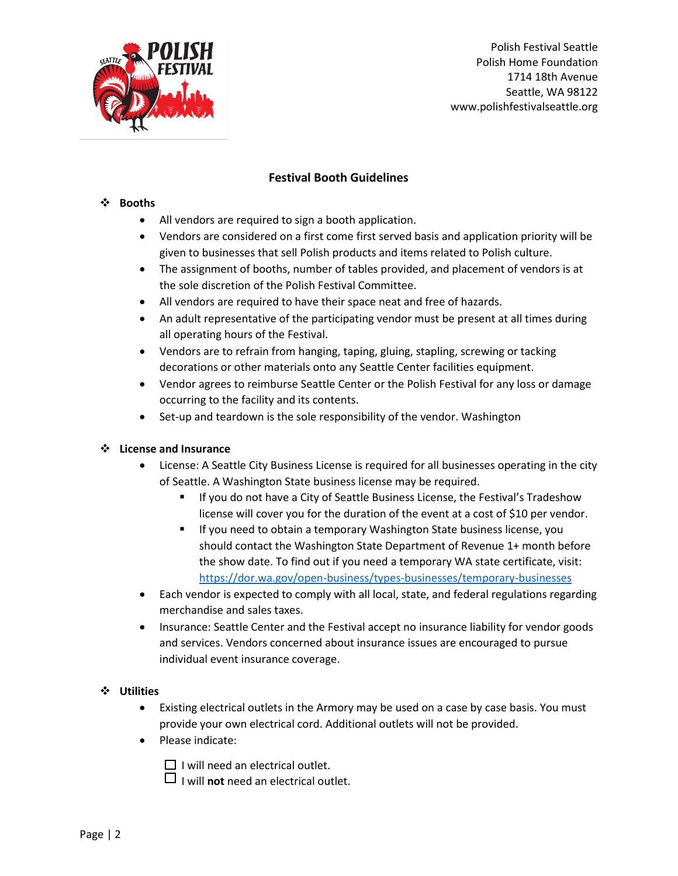

Polish Festival Seattle Polish Home Foundation 1714 18th Avenue Seattle, WA 98122 www.polishfestivalseattle.org

# **Festival Booth Guidelines**

### ❖ **Booths**

- All vendors are required to sign a booth application.
- Vendors are considered on a first come first served basis and application priority will be given to businesses that sell Polish products and items related to Polish culture.
- The assignment of booths, number of tables provided, and placement of vendors is at the sole discretion of the Polish Festival Committee.
- All vendors are required to have their space neat and free of hazards.
- An adult representative of the participating vendor must be present at all times during all operating hours of the Festival.
- Vendors are to refrain from hanging, taping, gluing, stapling, screwing or tacking decorations or other materials onto any Seattle Center facilities equipment.
- Vendor agrees to reimburse Seattle Center or the Polish Festival for any loss or damage occurring to the facility and its contents.
- Set-up and teardown is the sole responsibility of the vendor. Washington

#### ❖ **License and Insurance**

- License: A Seattle City Business License is required for all businesses operating in the city of Seattle. A Washington State business license may be required.
	- **E** If you do not have a City of Seattle Business License, the Festival's Tradeshow license will cover you for the duration of the event at a cost of \$10 per vendor.
	- If you need to obtain a temporary Washington State business license, you should contact the Washington State Department of Revenue 1+ month before the show date. To find out if you need a temporary WA state certificate, visit: <https://dor.wa.gov/open-business/types-businesses/temporary-businesses>
- Each vendor is expected to comply with all local, state, and federal regulations regarding merchandise and sales taxes.
- Insurance: Seattle Center and the Festival accept no insurance liability for vendor goods and services. Vendors concerned about insurance issues are encouraged to pursue individual event insurance coverage.

## ❖ **Utilities**

- Existing electrical outlets in the Armory may be used on a case by case basis. You must provide your own electrical cord. Additional outlets will not be provided.
- Please indicate:

 $\Box$  I will need an electrical outlet.

 $\Box$  I will **not** need an electrical outlet.